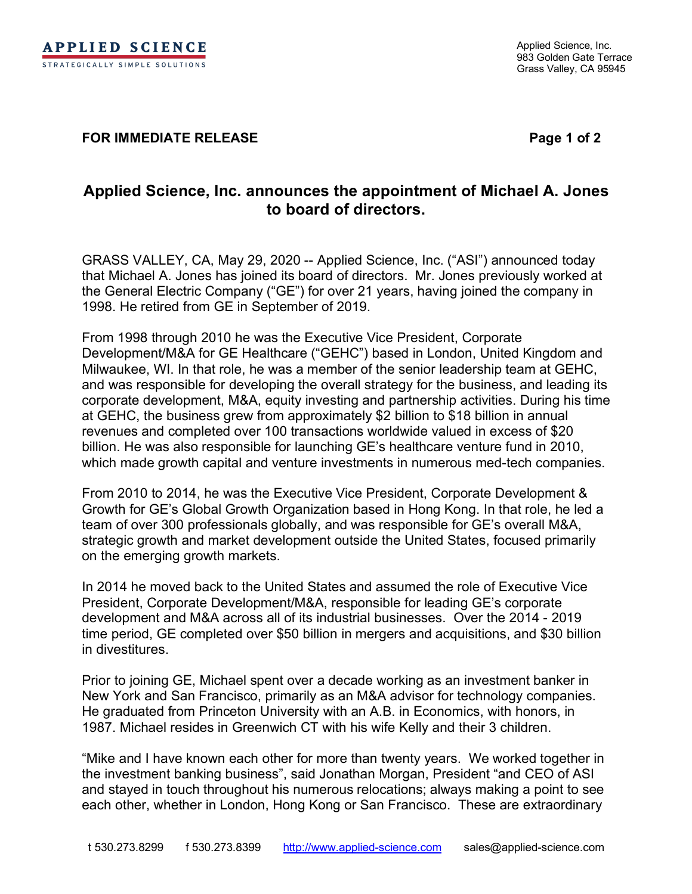## **FOR IMMEDIATE RELEASE Page 1 of 2**

## **Applied Science, Inc. announces the appointment of Michael A. Jones to board of directors.**

GRASS VALLEY, CA, May 29, 2020 -- Applied Science, Inc. ("ASI") announced today that Michael A. Jones has joined its board of directors. Mr. Jones previously worked at the General Electric Company ("GE") for over 21 years, having joined the company in 1998. He retired from GE in September of 2019.

From 1998 through 2010 he was the Executive Vice President, Corporate Development/M&A for GE Healthcare ("GEHC") based in London, United Kingdom and Milwaukee, WI. In that role, he was a member of the senior leadership team at GEHC, and was responsible for developing the overall strategy for the business, and leading its corporate development, M&A, equity investing and partnership activities. During his time at GEHC, the business grew from approximately \$2 billion to \$18 billion in annual revenues and completed over 100 transactions worldwide valued in excess of \$20 billion. He was also responsible for launching GE's healthcare venture fund in 2010, which made growth capital and venture investments in numerous med-tech companies.

From 2010 to 2014, he was the Executive Vice President, Corporate Development & Growth for GE's Global Growth Organization based in Hong Kong. In that role, he led a team of over 300 professionals globally, and was responsible for GE's overall M&A, strategic growth and market development outside the United States, focused primarily on the emerging growth markets.

In 2014 he moved back to the United States and assumed the role of Executive Vice President, Corporate Development/M&A, responsible for leading GE's corporate development and M&A across all of its industrial businesses. Over the 2014 - 2019 time period, GE completed over \$50 billion in mergers and acquisitions, and \$30 billion in divestitures.

Prior to joining GE, Michael spent over a decade working as an investment banker in New York and San Francisco, primarily as an M&A advisor for technology companies. He graduated from Princeton University with an A.B. in Economics, with honors, in 1987. Michael resides in Greenwich CT with his wife Kelly and their 3 children.

"Mike and I have known each other for more than twenty years. We worked together in the investment banking business", said Jonathan Morgan, President "and CEO of ASI and stayed in touch throughout his numerous relocations; always making a point to see each other, whether in London, Hong Kong or San Francisco. These are extraordinary